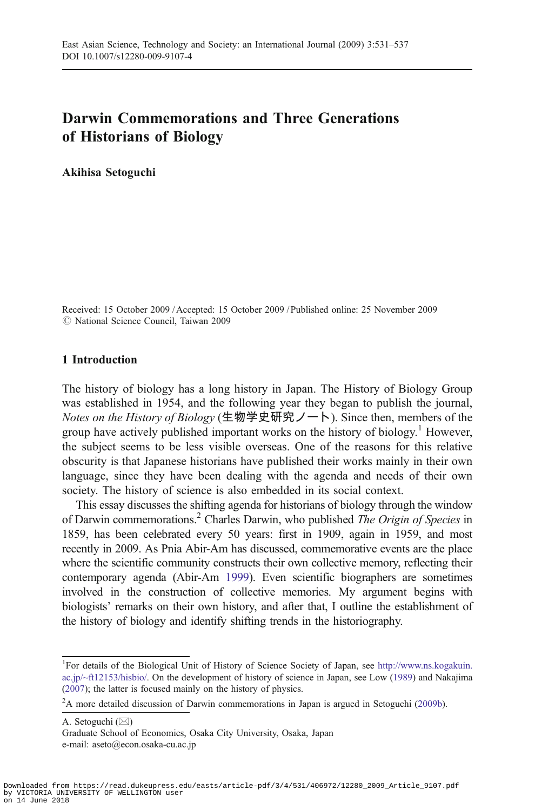# Darwin Commemorations and Three Generations of Historians of Biology

Akihisa Setoguchi

Received: 15 October 2009 / Accepted: 15 October 2009 / Published online: 25 November 2009  $\oslash$  National Science Council, Taiwan 2009

## 1 Introduction

The history of biology has a long history in Japan. The History of Biology Group was established in 1954, and the following year they began to publish the journal, Notes on the History of Biology (生物学史研究ノート). Since then, members of the group have actively published important works on the history of biology.<sup>1</sup> However, the subject seems to be less visible overseas. One of the reasons for this relative obscurity is that Japanese historians have published their works mainly in their own language, since they have been dealing with the agenda and needs of their own society. The history of science is also embedded in its social context.

This essay discusses the shifting agenda for historians of biology through the window of Darwin commemorations.<sup>2</sup> Charles Darwin, who published *The Origin of Species* in 1859, has been celebrated every 50 years: first in 1909, again in 1959, and most recently in 2009. As Pnia Abir-Am has discussed, commemorative events are the place where the scientific community constructs their own collective memory, reflecting their contemporary agenda (Abir-Am [1999\)](#page-5-0). Even scientific biographers are sometimes involved in the construction of collective memories. My argument begins with biologists' remarks on their own history, and after that, I outline the establishment of the history of biology and identify shifting trends in the historiography.

A. Setoguchi (*\**)

Graduate School of Economics, Osaka City University, Osaka, Japan e-mail: aseto@econ.osaka-cu.ac.jp

<sup>&</sup>lt;sup>1</sup>For details of the Biological Unit of History of Science Society of Japan, see [http://www.ns.kogakuin.](http://www.ns.kogakuin.ac.jp/~ft12153/hisbio/) [ac.jp/~ft12153/hisbio/.](http://www.ns.kogakuin.ac.jp/~ft12153/hisbio/) On the development of history of science in Japan, see Low [\(1989\)](#page-6-0) and Nakajima ([2007\)](#page-6-0); the latter is focused mainly on the history of physics.

<sup>&</sup>lt;sup>2</sup>A more detailed discussion of Darwin commemorations in Japan is argued in Setoguchi [\(2009b](#page-6-0)).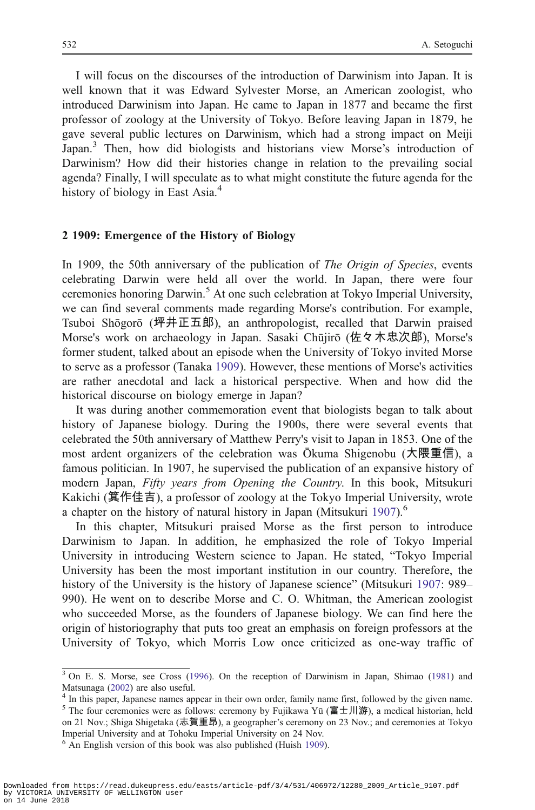I will focus on the discourses of the introduction of Darwinism into Japan. It is well known that it was Edward Sylvester Morse, an American zoologist, who introduced Darwinism into Japan. He came to Japan in 1877 and became the first professor of zoology at the University of Tokyo. Before leaving Japan in 1879, he gave several public lectures on Darwinism, which had a strong impact on Meiji Japan.<sup>3</sup> Then, how did biologists and historians view Morse's introduction of Darwinism? How did their histories change in relation to the prevailing social agenda? Finally, I will speculate as to what might constitute the future agenda for the history of biology in East Asia.<sup>4</sup>

#### 2 1909: Emergence of the History of Biology

In 1909, the 50th anniversary of the publication of *The Origin of Species*, events celebrating Darwin were held all over the world. In Japan, there were four ceremonies honoring Darwin.<sup>5</sup> At one such celebration at Tokyo Imperial University, we can find several comments made regarding Morse's contribution. For example, Tsuboi Shōgorō (坪井正五郎), an anthropologist, recalled that Darwin praised Morse's work on archaeology in Japan. Sasaki Chūjirō (佐々木忠次郎), Morse's former student, talked about an episode when the University of Tokyo invited Morse to serve as a professor (Tanaka [1909\)](#page-6-0). However, these mentions of Morse's activities are rather anecdotal and lack a historical perspective. When and how did the historical discourse on biology emerge in Japan?

It was during another commemoration event that biologists began to talk about history of Japanese biology. During the 1900s, there were several events that celebrated the 50th anniversary of Matthew Perry's visit to Japan in 1853. One of the most ardent organizers of the celebration was Ōkuma Shigenobu (大隈重信), a famous politician. In 1907, he supervised the publication of an expansive history of modern Japan, Fifty years from Opening the Country. In this book, Mitsukuri Kakichi (箕作佳吉), a professor of zoology at the Tokyo Imperial University, wrote a chapter on the history of natural history in Japan (Mitsukuri [1907\)](#page-6-0).<sup>6</sup>

In this chapter, Mitsukuri praised Morse as the first person to introduce Darwinism to Japan. In addition, he emphasized the role of Tokyo Imperial University in introducing Western science to Japan. He stated, "Tokyo Imperial University has been the most important institution in our country. Therefore, the history of the University is the history of Japanese science" (Mitsukuri [1907](#page-6-0): 989– 990). He went on to describe Morse and C. O. Whitman, the American zoologist who succeeded Morse, as the founders of Japanese biology. We can find here the origin of historiography that puts too great an emphasis on foreign professors at the University of Tokyo, which Morris Low once criticized as one-way traffic of

<sup>&</sup>lt;sup>3</sup> On E. S. Morse, see Cross ([1996\)](#page-5-0). On the reception of Darwinism in Japan, Shimao ([1981](#page-6-0)) and Matsunaga ([2002\)](#page-6-0) are also useful.<br><sup>4</sup> In this paper, Japanese names appear in their own order, family name first, followed by the given name.

<sup>&</sup>lt;sup>5</sup> The four ceremonies were as follows: ceremony by Fujikawa Yū (富士川游), a medical historian, held on 21 Nov.; Shiga Shigetaka (志賀重昂), a geographer's ceremony on 23 Nov.; and ceremonies at Tokyo Imperial University and at Tohoku Imperial University on 24 Nov.

 $6$  An English version of this book was also published (Huish [1909](#page-5-0)).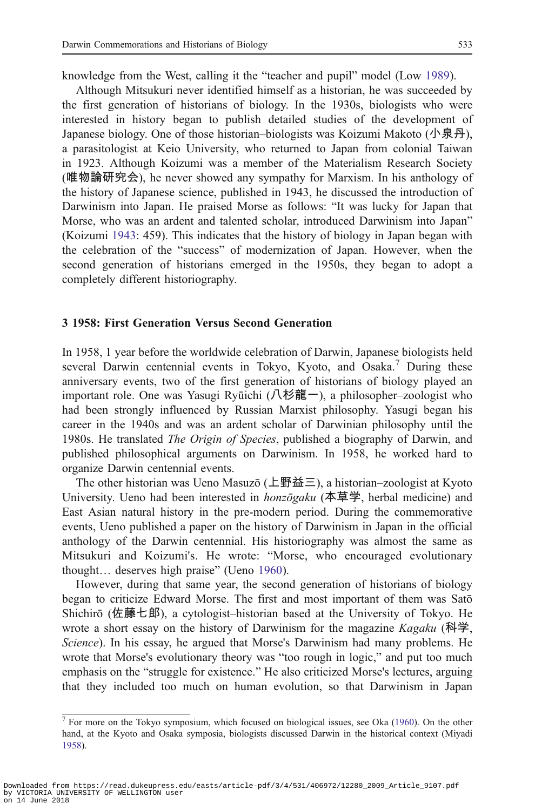knowledge from the West, calling it the "teacher and pupil" model (Low [1989\)](#page-6-0).

Although Mitsukuri never identified himself as a historian, he was succeeded by the first generation of historians of biology. In the 1930s, biologists who were interested in history began to publish detailed studies of the development of Japanese biology. One of those historian–biologists was Koizumi Makoto (小泉丹), a parasitologist at Keio University, who returned to Japan from colonial Taiwan in 1923. Although Koizumi was a member of the Materialism Research Society (唯物論研究会), he never showed any sympathy for Marxism. In his anthology of the history of Japanese science, published in 1943, he discussed the introduction of Darwinism into Japan. He praised Morse as follows: "It was lucky for Japan that Morse, who was an ardent and talented scholar, introduced Darwinism into Japan" (Koizumi [1943:](#page-5-0) 459). This indicates that the history of biology in Japan began with the celebration of the "success" of modernization of Japan. However, when the second generation of historians emerged in the 1950s, they began to adopt a completely different historiography.

#### 3 1958: First Generation Versus Second Generation

In 1958, 1 year before the worldwide celebration of Darwin, Japanese biologists held several Darwin centennial events in Tokyo, Kyoto, and Osaka.<sup>7</sup> During these anniversary events, two of the first generation of historians of biology played an important role. One was Yasugi Ryūichi (八杉龍一), a philosopher–zoologist who had been strongly influenced by Russian Marxist philosophy. Yasugi began his career in the 1940s and was an ardent scholar of Darwinian philosophy until the 1980s. He translated *The Origin of Species*, published a biography of Darwin, and published philosophical arguments on Darwinism. In 1958, he worked hard to organize Darwin centennial events.

The other historian was Ueno Masuzō (上野益三), a historian–zoologist at Kyoto University. Ueno had been interested in *honzōgaku* (本草学, herbal medicine) and East Asian natural history in the pre-modern period. During the commemorative events, Ueno published a paper on the history of Darwinism in Japan in the official anthology of the Darwin centennial. His historiography was almost the same as Mitsukuri and Koizumi's. He wrote: "Morse, who encouraged evolutionary thought… deserves high praise" (Ueno [1960](#page-6-0)).

However, during that same year, the second generation of historians of biology began to criticize Edward Morse. The first and most important of them was Satō Shichirō (佐藤七郎), a cytologist–historian based at the University of Tokyo. He wrote a short essay on the history of Darwinism for the magazine  $Kagaku$  (科学, Science). In his essay, he argued that Morse's Darwinism had many problems. He wrote that Morse's evolutionary theory was "too rough in logic," and put too much emphasis on the "struggle for existence." He also criticized Morse's lectures, arguing that they included too much on human evolution, so that Darwinism in Japan

 $7$  For more on the Tokyo symposium, which focused on biological issues, see Oka [\(1960](#page-6-0)). On the other hand, at the Kyoto and Osaka symposia, biologists discussed Darwin in the historical context (Miyadi [1958\)](#page-6-0).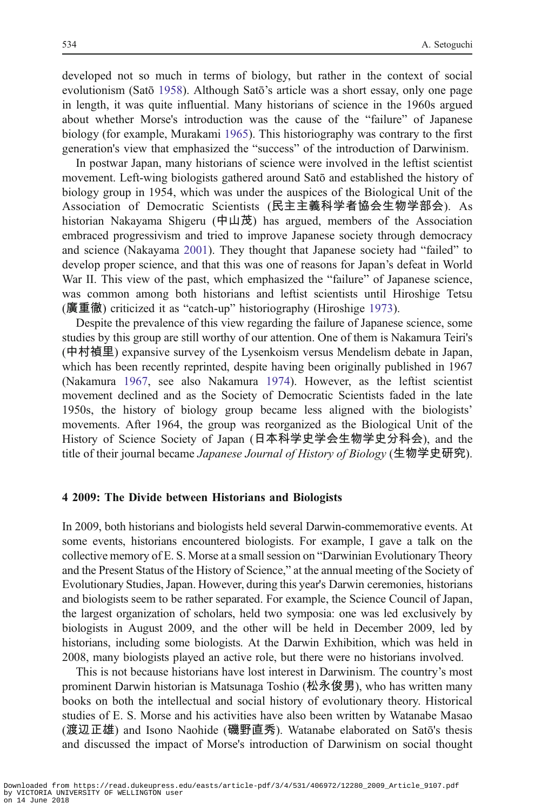developed not so much in terms of biology, but rather in the context of social evolutionism (Satō [1958](#page-6-0)). Although Satō's article was a short essay, only one page in length, it was quite influential. Many historians of science in the 1960s argued about whether Morse's introduction was the cause of the "failure" of Japanese biology (for example, Murakami [1965](#page-6-0)). This historiography was contrary to the first generation's view that emphasized the "success" of the introduction of Darwinism.

In postwar Japan, many historians of science were involved in the leftist scientist movement. Left-wing biologists gathered around Satō and established the history of biology group in 1954, which was under the auspices of the Biological Unit of the Association of Democratic Scientists (民主主義科学者協会生物学部会). As historian Nakayama Shigeru (中山茂) has argued, members of the Association embraced progressivism and tried to improve Japanese society through democracy and science (Nakayama [2001](#page-6-0)). They thought that Japanese society had "failed" to develop proper science, and that this was one of reasons for Japan's defeat in World War II. This view of the past, which emphasized the "failure" of Japanese science, was common among both historians and leftist scientists until Hiroshige Tetsu (廣重徹) criticized it as "catch-up" historiography (Hiroshige [1973](#page-5-0)).

Despite the prevalence of this view regarding the failure of Japanese science, some studies by this group are still worthy of our attention. One of them is Nakamura Teiri's (中村禎里) expansive survey of the Lysenkoism versus Mendelism debate in Japan, which has been recently reprinted, despite having been originally published in 1967 (Nakamura [1967](#page-6-0), see also Nakamura [1974](#page-6-0)). However, as the leftist scientist movement declined and as the Society of Democratic Scientists faded in the late 1950s, the history of biology group became less aligned with the biologists' movements. After 1964, the group was reorganized as the Biological Unit of the History of Science Society of Japan (日本科学史学会生物学史分科会), and the title of their journal became *Japanese Journal of History of Biology* (生物学史研究).

#### 4 2009: The Divide between Historians and Biologists

In 2009, both historians and biologists held several Darwin-commemorative events. At some events, historians encountered biologists. For example, I gave a talk on the collective memory of E. S. Morse at a small session on "Darwinian Evolutionary Theory and the Present Status of the History of Science," at the annual meeting of the Society of Evolutionary Studies, Japan. However, during this year's Darwin ceremonies, historians and biologists seem to be rather separated. For example, the Science Council of Japan, the largest organization of scholars, held two symposia: one was led exclusively by biologists in August 2009, and the other will be held in December 2009, led by historians, including some biologists. At the Darwin Exhibition, which was held in 2008, many biologists played an active role, but there were no historians involved.

This is not because historians have lost interest in Darwinism. The country's most prominent Darwin historian is Matsunaga Toshio (松永俊男), who has written many books on both the intellectual and social history of evolutionary theory. Historical studies of E. S. Morse and his activities have also been written by Watanabe Masao (渡辺正雄) and Isono Naohide (磯野直秀). Watanabe elaborated on Satō's thesis and discussed the impact of Morse's introduction of Darwinism on social thought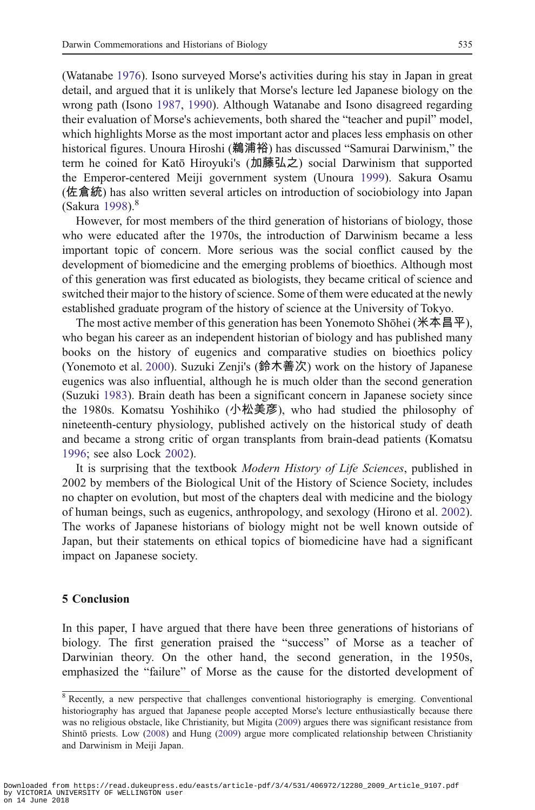(Watanabe [1976\)](#page-6-0). Isono surveyed Morse's activities during his stay in Japan in great detail, and argued that it is unlikely that Morse's lecture led Japanese biology on the wrong path (Isono [1987,](#page-5-0) [1990](#page-5-0)). Although Watanabe and Isono disagreed regarding their evaluation of Morse's achievements, both shared the "teacher and pupil" model, which highlights Morse as the most important actor and places less emphasis on other historical figures. Unoura Hiroshi (鵜浦裕) has discussed "Samurai Darwinism," the term he coined for Katō Hiroyuki's (加藤弘之) social Darwinism that supported the Emperor-centered Meiji government system (Unoura [1999](#page-6-0)). Sakura Osamu (佐倉統) has also written several articles on introduction of sociobiology into Japan (Sakura [1998\)](#page-6-0).<sup>8</sup>

However, for most members of the third generation of historians of biology, those who were educated after the 1970s, the introduction of Darwinism became a less important topic of concern. More serious was the social conflict caused by the development of biomedicine and the emerging problems of bioethics. Although most of this generation was first educated as biologists, they became critical of science and switched their major to the history of science. Some of them were educated at the newly established graduate program of the history of science at the University of Tokyo.

The most active member of this generation has been Yonemoto Shōhei (米本昌平), who began his career as an independent historian of biology and has published many books on the history of eugenics and comparative studies on bioethics policy (Yonemoto et al. [2000\)](#page-6-0). Suzuki Zenji's (鈴木善次) work on the history of Japanese eugenics was also influential, although he is much older than the second generation (Suzuki [1983\)](#page-6-0). Brain death has been a significant concern in Japanese society since the 1980s. Komatsu Yoshihiko (小松美彦), who had studied the philosophy of nineteenth-century physiology, published actively on the historical study of death and became a strong critic of organ transplants from brain-dead patients (Komatsu [1996;](#page-5-0) see also Lock [2002\)](#page-5-0).

It is surprising that the textbook Modern History of Life Sciences, published in 2002 by members of the Biological Unit of the History of Science Society, includes no chapter on evolution, but most of the chapters deal with medicine and the biology of human beings, such as eugenics, anthropology, and sexology (Hirono et al. [2002\)](#page-5-0). The works of Japanese historians of biology might not be well known outside of Japan, but their statements on ethical topics of biomedicine have had a significant impact on Japanese society.

#### 5 Conclusion

In this paper, I have argued that there have been three generations of historians of biology. The first generation praised the "success" of Morse as a teacher of Darwinian theory. On the other hand, the second generation, in the 1950s, emphasized the "failure" of Morse as the cause for the distorted development of

 $8$  Recently, a new perspective that challenges conventional historiography is emerging. Conventional historiography has argued that Japanese people accepted Morse's lecture enthusiastically because there was no religious obstacle, like Christianity, but Migita ([2009\)](#page-6-0) argues there was significant resistance from Shintō priests. Low [\(2008](#page-6-0)) and Hung [\(2009](#page-5-0)) argue more complicated relationship between Christianity and Darwinism in Meiji Japan.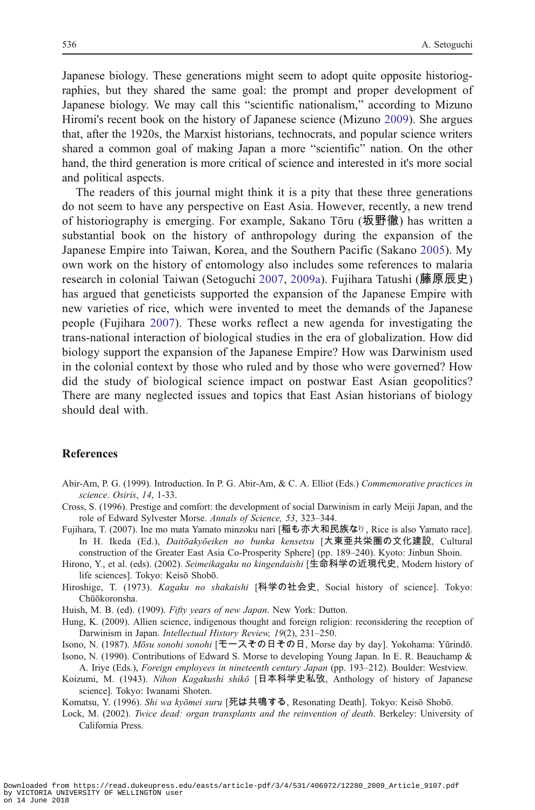<span id="page-5-0"></span>Japanese biology. These generations might seem to adopt quite opposite historiographies, but they shared the same goal: the prompt and proper development of Japanese biology. We may call this "scientific nationalism," according to Mizuno Hiromi's recent book on the history of Japanese science (Mizuno [2009\)](#page-6-0). She argues that, after the 1920s, the Marxist historians, technocrats, and popular science writers shared a common goal of making Japan a more "scientific" nation. On the other hand, the third generation is more critical of science and interested in it's more social and political aspects.

The readers of this journal might think it is a pity that these three generations do not seem to have any perspective on East Asia. However, recently, a new trend of historiography is emerging. For example, Sakano Tōru (坂野徹) has written a substantial book on the history of anthropology during the expansion of the Japanese Empire into Taiwan, Korea, and the Southern Pacific (Sakano [2005\)](#page-6-0). My own work on the history of entomology also includes some references to malaria research in colonial Taiwan (Setoguchi [2007](#page-6-0), [2009a\)](#page-6-0). Fujihara Tatushi (藤原辰史) has argued that geneticists supported the expansion of the Japanese Empire with new varieties of rice, which were invented to meet the demands of the Japanese people (Fujihara 2007). These works reflect a new agenda for investigating the trans-national interaction of biological studies in the era of globalization. How did biology support the expansion of the Japanese Empire? How was Darwinism used in the colonial context by those who ruled and by those who were governed? How did the study of biological science impact on postwar East Asian geopolitics? There are many neglected issues and topics that East Asian historians of biology should deal with.

### References

Abir-Am, P. G. (1999). Introduction. In P. G. Abir-Am, & C. A. Elliot (Eds.) Commemorative practices in science. Osiris, 14, 1-33.

Cross, S. (1996). Prestige and comfort: the development of social Darwinism in early Meiji Japan, and the role of Edward Sylvester Morse. Annals of Science, 53, 323–344.

Fujihara, T. (2007). Ine mo mata Yamato minzoku nari [稲も亦大和民族なり, Rice is also Yamato race]. In H. Ikeda (Ed.), Daitōakyōeiken no bunka kensetsu [大東亜共栄圏の文化建設, Cultural construction of the Greater East Asia Co-Prosperity Sphere] (pp. 189–240). Kyoto: Jinbun Shoin.

Hirono, Y., et al. (eds). (2002). Seimeikagaku no kingendaishi [生命科学の近現代史, Modern history of life sciences]. Tokyo: Keisō Shobō.

Hiroshige, T. (1973). Kagaku no shakaishi [科学の社会史, Social history of science]. Tokyo: Chūōkoronsha.

Huish, M. B. (ed). (1909). Fifty years of new Japan. New York: Dutton.

Hung, K. (2009). Allien science, indigenous thought and foreign religion: reconsidering the reception of Darwinism in Japan. Intellectual History Review, 19(2), 231–250.

Isono, N. (1987). Mōsu sonohi sonohi [モースその日その日, Morse day by day]. Yokohama: Yūrindō.

Isono, N. (1990). Contributions of Edward S. Morse to developing Young Japan. In E. R. Beauchamp & A. Iriye (Eds.), Foreign employees in nineteenth century Japan (pp. 193–212). Boulder: Westview.

Koizumi, M. (1943). Nihon Kagakushi shikō [日本科学史私攷, Anthology of history of Japanese science]. Tokyo: Iwanami Shoten.

Komatsu, Y. (1996). Shi wa kyōmei suru [死は共鳴する, Resonating Death]. Tokyo: Keisō Shobō.

Lock, M. (2002). Twice dead: organ transplants and the reinvention of death. Berkeley: University of California Press.